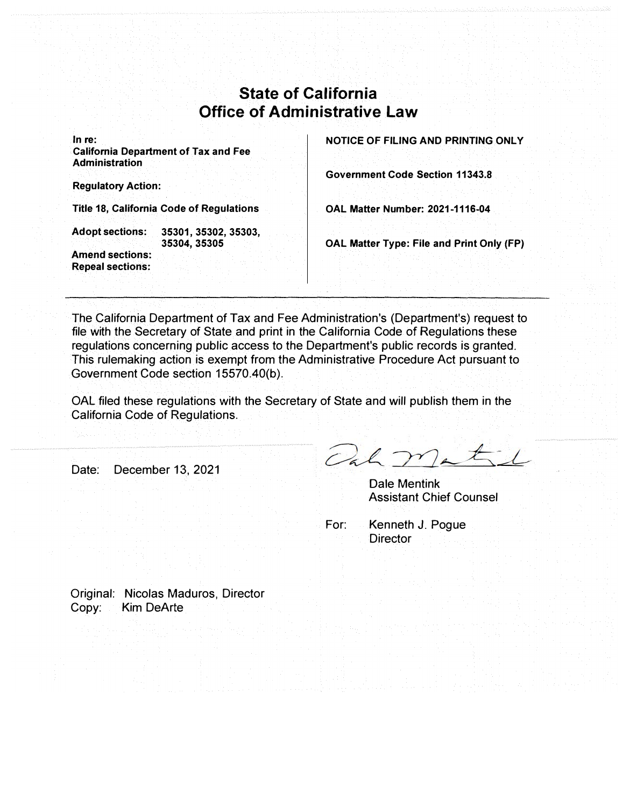## **State of California Office of Administrative Law**

**In re:** 

**California Department of Tax and Fee Administration** 

**Regulatory Action:** 

**Title 18, California Code of Regulations** 

**Adopt sections: 35301, 35302, 35303, Amend sections:** 

**Repeal sections:** 

**35304,35305** 

**NOTICE OF FILING AND PRINTING ONLY** 

**Government Code Section 11343.8** 

**OAL Matter Number: 2021-1116-04** 

**OAL Matter Type: File and Print Only (FP)** 

The California Department of Tax and Fee Administration's (Department's) request to file with the Secretary of State and print in the California Code of Regulations these regulations concerning public access to the Department's public records is granted. This rulemaking action is exempt from the Administrative Procedure Act pursuant to Government Code section 15570.40(b).

OAL filed these regulations with the Secretary of State and will publish them in the California Code of Regulations.

Date: December 13, 2021

Och matil

DaIe Mentink Assistant Chief Counsel

For: Kenneth J. Poque **Director** 

Original: Nicolas Maduros, Director Copy: Kim DeArte